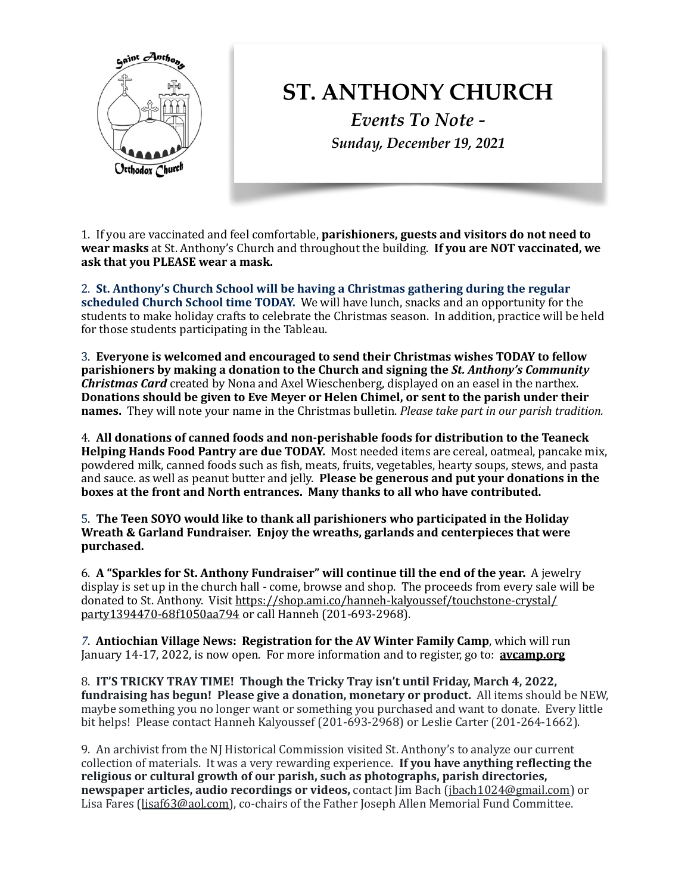

## **ST. ANTHONY CHURCH**

*Events To Note - Sunday, December 19, 2021*

1. If you are vaccinated and feel comfortable, **parishioners, guests and visitors do not need to** wear masks at St. Anthony's Church and throughout the building. If you are NOT vaccinated, we ask that you PLEASE wear a mask.

2. St. Anthony's Church School will be having a Christmas gathering during the regular **scheduled Church School time TODAY.** We will have lunch, snacks and an opportunity for the students to make holiday crafts to celebrate the Christmas season. In addition, practice will be held for those students participating in the Tableau.

3. Everyone is welcomed and encouraged to send their Christmas wishes TODAY to fellow **parishioners** by making a donation to the Church and signing the *St. Anthony's Community Christmas Card* created by Nona and Axel Wieschenberg, displayed on an easel in the narthex. Donations should be given to Eve Meyer or Helen Chimel, or sent to the parish under their **names.** They will note your name in the Christmas bulletin. *Please take part in our parish tradition.* 

4. **All donations of canned foods and non-perishable foods for distribution to the Teaneck Helping Hands Food Pantry are due TODAY.** Most needed items are cereal, oatmeal, pancake mix, powdered milk, canned foods such as fish, meats, fruits, vegetables, hearty soups, stews, and pasta and sauce. as well as peanut butter and jelly. Please be generous and put your donations in the **boxes at the front and North entrances. Many thanks to all who have contributed.** 

5. The Teen SOYO would like to thank all parishioners who participated in the Holiday **Wreath & Garland Fundraiser. Enjoy the wreaths, garlands and centerpieces that were purchased.** 

6. A "Sparkles for St. Anthony Fundraiser" will continue till the end of the year. A jewelry display is set up in the church hall - come, browse and shop. The proceeds from every sale will be donated to St. Anthony. Visit [https://shop.ami.co/hanneh-kalyoussef/touchstone-crystal/](https://shop.ami.co/hanneh-kalyoussef/touchstone-crysta/party1394470-68f105aa794) party1394470-68f1050aa794 or call Hanneh (201-693-2968).

**7. Antiochian Village News: Registration for the AV Winter Family Camp**, which will run January 14-17, 2022, is now open. For more information and to register, go to: **avcamp.org** 

8. **IT'S TRICKY TRAY TIME!** Though the Tricky Tray isn't until Friday, March 4, 2022, fundraising has begun! Please give a donation, monetary or product. All items should be NEW, maybe something you no longer want or something you purchased and want to donate. Every little bit helps! Please contact Hanneh Kalyoussef (201-693-2968) or Leslie Carter (201-264-1662).

9. An archivist from the NJ Historical Commission visited St. Anthony's to analyze our current collection of materials. It was a very rewarding experience. **If you have anything reflecting the** religious or cultural growth of our parish, such as photographs, parish directories, **newspaper articles, audio recordings or videos,** contact  $\lim$  Bach ([jbach1024@gmail.com](mailto:jbach1024@gmail.com)) or Lisa Fares [\(lisaf63@aol.com](mailto:lisaf63@aol.com)), co-chairs of the Father Joseph Allen Memorial Fund Committee.